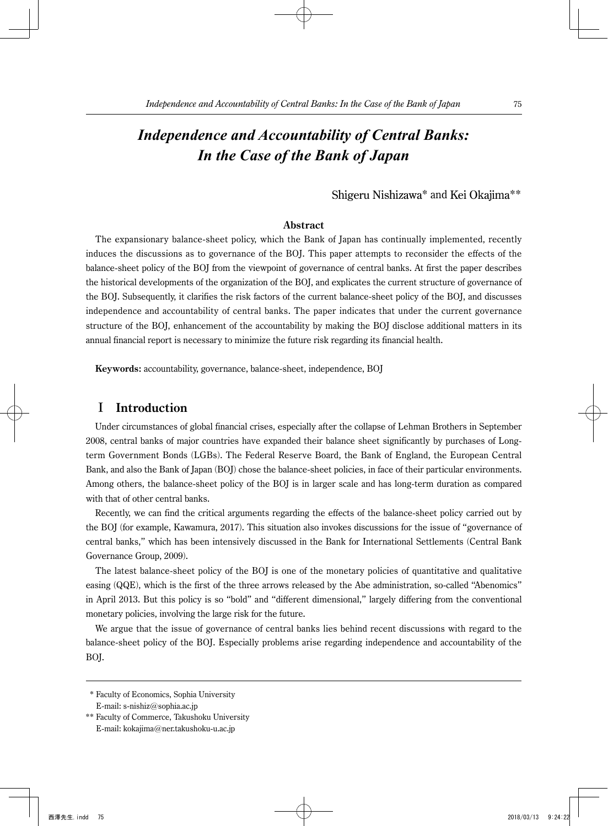# *Independence and Accountability of Central Banks: In the Case of the Bank of Japan*

### Shigeru Nishizawa\* and Kei Okajima\*\*

### **Abstract**

The expansionary balance-sheet policy, which the Bank of Japan has continually implemented, recently induces the discussions as to governance of the BOJ. This paper attempts to reconsider the effects of the balance-sheet policy of the BOJ from the viewpoint of governance of central banks. At first the paper describes the historical developments of the organization of the BOJ, and explicates the current structure of governance of the BOJ. Subsequently, it clarifies the risk factors of the current balance-sheet policy of the BOJ, and discusses independence and accountability of central banks. The paper indicates that under the current governance structure of the BOJ, enhancement of the accountability by making the BOJ disclose additional matters in its annual financial report is necessary to minimize the future risk regarding its financial health.

**Keywords:** accountability, governance, balance-sheet, independence, BOJ

### I **Introduction**

Under circumstances of global financial crises, especially after the collapse of Lehman Brothers in September 2008, central banks of major countries have expanded their balance sheet significantly by purchases of Longterm Government Bonds (LGBs). The Federal Reserve Board, the Bank of England, the European Central Bank, and also the Bank of Japan (BOJ) chose the balance-sheet policies, in face of their particular environments. Among others, the balance-sheet policy of the BOJ is in larger scale and has long-term duration as compared with that of other central banks.

Recently, we can find the critical arguments regarding the effects of the balance-sheet policy carried out by the BOJ (for example, Kawamura, 2017). This situation also invokes discussions for the issue of "governance of central banks," which has been intensively discussed in the Bank for International Settlements (Central Bank Governance Group, 2009).

The latest balance-sheet policy of the BOJ is one of the monetary policies of quantitative and qualitative easing (QQE), which is the first of the three arrows released by the Abe administration, so-called "Abenomics" in April 2013. But this policy is so "bold" and "different dimensional," largely differing from the conventional monetary policies, involving the large risk for the future.

We argue that the issue of governance of central banks lies behind recent discussions with regard to the balance-sheet policy of the BOJ. Especially problems arise regarding independence and accountability of the BOJ.

 \* Faculty of Economics, Sophia University E-mail: s-nishiz@sophia.ac.jp

<sup>\*\*</sup> Faculty of Commerce, Takushoku University E-mail: kokajima@ner.takushoku-u.ac.jp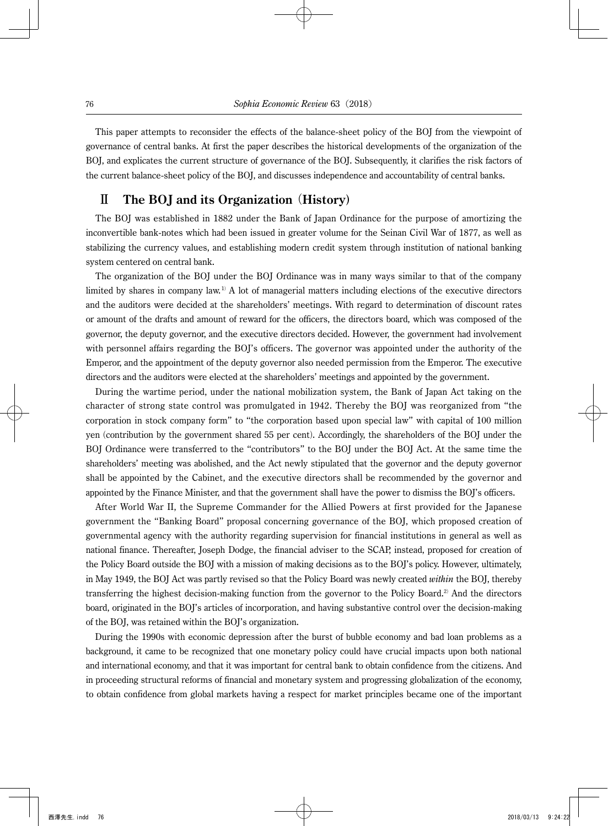This paper attempts to reconsider the effects of the balance-sheet policy of the BOJ from the viewpoint of governance of central banks. At first the paper describes the historical developments of the organization of the BOJ, and explicates the current structure of governance of the BOJ. Subsequently, it clarifies the risk factors of the current balance-sheet policy of the BOJ, and discusses independence and accountability of central banks.

# Ⅱ **The BOJ and its Organization** (**History**)

The BOJ was established in 1882 under the Bank of Japan Ordinance for the purpose of amortizing the inconvertible bank-notes which had been issued in greater volume for the Seinan Civil War of 1877, as well as stabilizing the currency values, and establishing modern credit system through institution of national banking system centered on central bank.

The organization of the BOJ under the BOJ Ordinance was in many ways similar to that of the company limited by shares in company law.<sup>1)</sup> A lot of managerial matters including elections of the executive directors and the auditors were decided at the shareholders' meetings. With regard to determination of discount rates or amount of the drafts and amount of reward for the officers, the directors board, which was composed of the governor, the deputy governor, and the executive directors decided. However, the government had involvement with personnel affairs regarding the BOJ's officers. The governor was appointed under the authority of the Emperor, and the appointment of the deputy governor also needed permission from the Emperor. The executive directors and the auditors were elected at the shareholders' meetings and appointed by the government.

During the wartime period, under the national mobilization system, the Bank of Japan Act taking on the character of strong state control was promulgated in 1942. Thereby the BOJ was reorganized from "the corporation in stock company form" to "the corporation based upon special law" with capital of 100 million yen (contribution by the government shared 55 per cent). Accordingly, the shareholders of the BOJ under the BOJ Ordinance were transferred to the "contributors" to the BOJ under the BOJ Act. At the same time the shareholders' meeting was abolished, and the Act newly stipulated that the governor and the deputy governor shall be appointed by the Cabinet, and the executive directors shall be recommended by the governor and appointed by the Finance Minister, and that the government shall have the power to dismiss the BOJ's officers.

After World War II, the Supreme Commander for the Allied Powers at first provided for the Japanese government the "Banking Board" proposal concerning governance of the BOJ, which proposed creation of governmental agency with the authority regarding supervision for financial institutions in general as well as national finance. Thereafter, Joseph Dodge, the financial adviser to the SCAP, instead, proposed for creation of the Policy Board outside the BOJ with a mission of making decisions as to the BOJ's policy. However, ultimately, in May 1949, the BOJ Act was partly revised so that the Policy Board was newly created *within* the BOJ, thereby transferring the highest decision-making function from the governor to the Policy Board.2) And the directors board, originated in the BOJ's articles of incorporation, and having substantive control over the decision-making of the BOJ, was retained within the BOJ's organization.

During the 1990s with economic depression after the burst of bubble economy and bad loan problems as a background, it came to be recognized that one monetary policy could have crucial impacts upon both national and international economy, and that it was important for central bank to obtain confidence from the citizens. And in proceeding structural reforms of financial and monetary system and progressing globalization of the economy, to obtain confidence from global markets having a respect for market principles became one of the important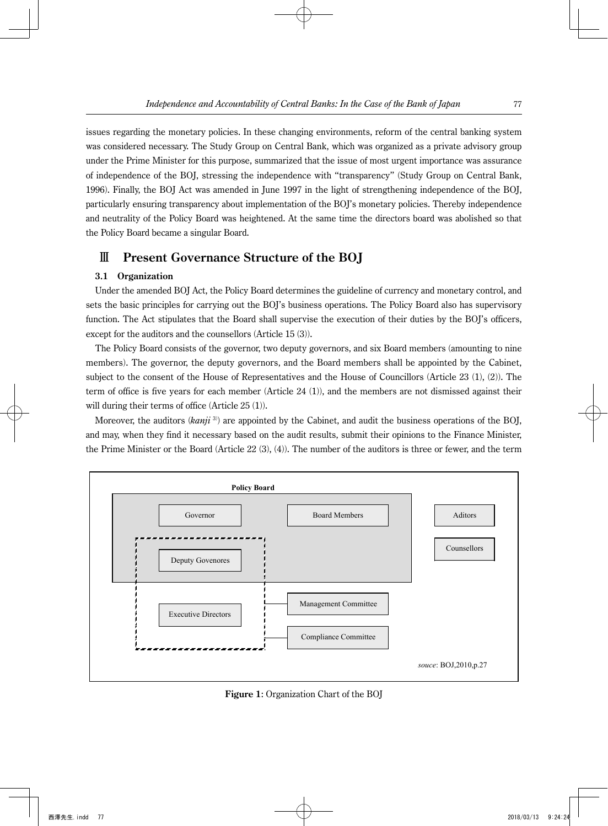issues regarding the monetary policies. In these changing environments, reform of the central banking system was considered necessary. The Study Group on Central Bank, which was organized as a private advisory group under the Prime Minister for this purpose, summarized that the issue of most urgent importance was assurance of independence of the BOJ, stressing the independence with "transparency" (Study Group on Central Bank, 1996). Finally, the BOJ Act was amended in June 1997 in the light of strengthening independence of the BOJ, particularly ensuring transparency about implementation of the BOJ's monetary policies. Thereby independence and neutrality of the Policy Board was heightened. At the same time the directors board was abolished so that the Policy Board became a singular Board.

## Ⅲ **Present Governance Structure of the BOJ**

### **3.1 Organization**

Under the amended BOJ Act, the Policy Board determines the guideline of currency and monetary control, and sets the basic principles for carrying out the BOJ's business operations. The Policy Board also has supervisory function. The Act stipulates that the Board shall supervise the execution of their duties by the BOJ's officers, except for the auditors and the counsellors (Article 15 (3)).

The Policy Board consists of the governor, two deputy governors, and six Board members (amounting to nine members). The governor, the deputy governors, and the Board members shall be appointed by the Cabinet, subject to the consent of the House of Representatives and the House of Councillors (Article 23 (1), (2)). The term of office is five years for each member (Article 24 (1)), and the members are not dismissed against their will during their terms of office (Article 25 (1)).

Moreover, the auditors (*kanji* <sup>3</sup>) ) are appointed by the Cabinet, and audit the business operations of the BOJ, and may, when they find it necessary based on the audit results, submit their opinions to the Finance Minister, the Prime Minister or the Board (Article 22 (3), (4)). The number of the auditors is three or fewer, and the term



**Figure 1**: Organization Chart of the BOJ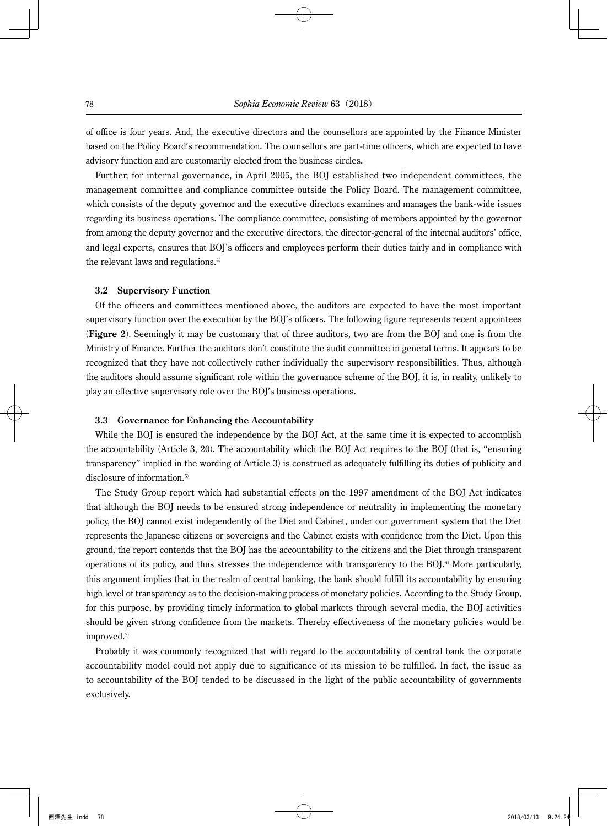of office is four years. And, the executive directors and the counsellors are appointed by the Finance Minister based on the Policy Board's recommendation. The counsellors are part-time officers, which are expected to have advisory function and are customarily elected from the business circles.

Further, for internal governance, in April 2005, the BOJ established two independent committees, the management committee and compliance committee outside the Policy Board. The management committee, which consists of the deputy governor and the executive directors examines and manages the bank-wide issues regarding its business operations. The compliance committee, consisting of members appointed by the governor from among the deputy governor and the executive directors, the director-general of the internal auditors' office, and legal experts, ensures that BOJ's officers and employees perform their duties fairly and in compliance with the relevant laws and regulations.<sup>4)</sup>

#### **3.2 Supervisory Function**

Of the officers and committees mentioned above, the auditors are expected to have the most important supervisory function over the execution by the BOJ's officers. The following figure represents recent appointees (**Figure 2**). Seemingly it may be customary that of three auditors, two are from the BOJ and one is from the Ministry of Finance. Further the auditors don't constitute the audit committee in general terms. It appears to be recognized that they have not collectively rather individually the supervisory responsibilities. Thus, although the auditors should assume significant role within the governance scheme of the BOJ, it is, in reality, unlikely to play an effective supervisory role over the BOJ's business operations.

### **3.3 Governance for Enhancing the Accountability**

While the BOJ is ensured the independence by the BOJ Act, at the same time it is expected to accomplish the accountability (Article 3, 20). The accountability which the BOJ Act requires to the BOJ (that is, "ensuring transparency" implied in the wording of Article 3) is construed as adequately fulfilling its duties of publicity and disclosure of information.<sup>5)</sup>

The Study Group report which had substantial effects on the 1997 amendment of the BOJ Act indicates that although the BOJ needs to be ensured strong independence or neutrality in implementing the monetary policy, the BOJ cannot exist independently of the Diet and Cabinet, under our government system that the Diet represents the Japanese citizens or sovereigns and the Cabinet exists with confidence from the Diet. Upon this ground, the report contends that the BOJ has the accountability to the citizens and the Diet through transparent operations of its policy, and thus stresses the independence with transparency to the  $BOJ<sup>6</sup>$  More particularly, this argument implies that in the realm of central banking, the bank should fulfill its accountability by ensuring high level of transparency as to the decision-making process of monetary policies. According to the Study Group, for this purpose, by providing timely information to global markets through several media, the BOJ activities should be given strong confidence from the markets. Thereby effectiveness of the monetary policies would be improved.<sup>7)</sup>

Probably it was commonly recognized that with regard to the accountability of central bank the corporate accountability model could not apply due to significance of its mission to be fulfilled. In fact, the issue as to accountability of the BOJ tended to be discussed in the light of the public accountability of governments exclusively.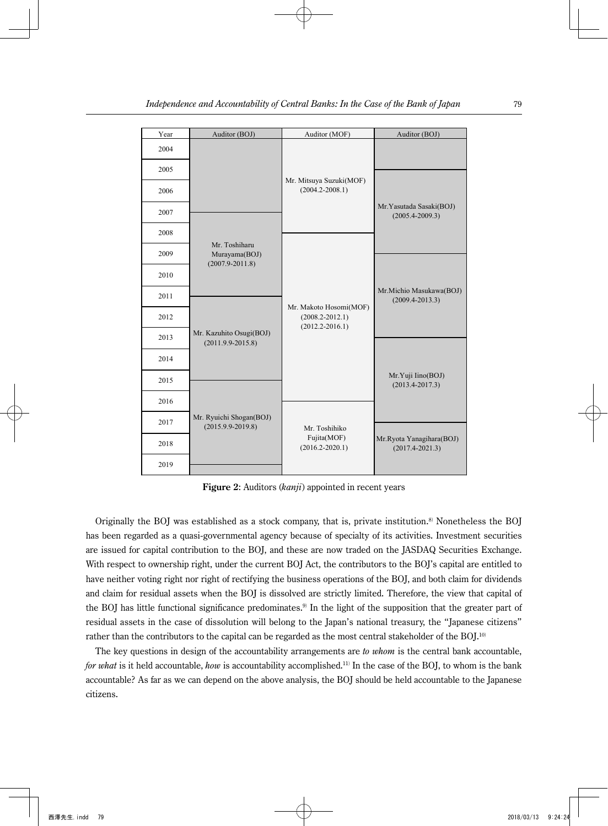| Year | Auditor (BOJ)                                    | Auditor (MOF)                                                        | Auditor (BOJ)                                   |  |
|------|--------------------------------------------------|----------------------------------------------------------------------|-------------------------------------------------|--|
| 2004 |                                                  |                                                                      |                                                 |  |
| 2005 |                                                  | Mr. Mitsuya Suzuki(MOF)                                              |                                                 |  |
| 2006 |                                                  | $(2004.2 - 2008.1)$                                                  |                                                 |  |
| 2007 |                                                  |                                                                      | Mr. Yasutada Sasaki(BOJ)<br>$(2005.4 - 2009.3)$ |  |
| 2008 | Mr. Toshiharu                                    |                                                                      |                                                 |  |
| 2009 | Murayama(BOJ)<br>$(2007.9 - 2011.8)$             |                                                                      |                                                 |  |
| 2010 |                                                  |                                                                      |                                                 |  |
| 2011 |                                                  |                                                                      | Mr.Michio Masukawa(BOJ)<br>$(2009.4 - 2013.3)$  |  |
| 2012 |                                                  | Mr. Makoto Hosomi(MOF)<br>$(2008.2 - 2012.1)$<br>$(2012.2 - 2016.1)$ |                                                 |  |
| 2013 | Mr. Kazuhito Osugi(BOJ)<br>$(2011.9.9 - 2015.8)$ |                                                                      |                                                 |  |
| 2014 |                                                  |                                                                      |                                                 |  |
| 2015 |                                                  |                                                                      | Mr.Yuji Iino(BOJ)<br>$(2013.4 - 2017.3)$        |  |
| 2016 |                                                  |                                                                      |                                                 |  |
| 2017 | Mr. Ryuichi Shogan(BOJ)<br>$(2015.9.9 - 2019.8)$ | Mr. Toshihiko                                                        |                                                 |  |
| 2018 |                                                  | Fujita(MOF)<br>$(2016.2 - 2020.1)$                                   | Mr.Ryota Yanagihara(BOJ)<br>$(2017.4 - 2021.3)$ |  |
| 2019 |                                                  |                                                                      |                                                 |  |

**Figure 2**: Auditors (*kanji*) appointed in recent years

Originally the BOJ was established as a stock company, that is, private institution.<sup>8)</sup> Nonetheless the BOJ has been regarded as a quasi-governmental agency because of specialty of its activities. Investment securities are issued for capital contribution to the BOJ, and these are now traded on the JASDAQ Securities Exchange. With respect to ownership right, under the current BOJ Act, the contributors to the BOJ's capital are entitled to have neither voting right nor right of rectifying the business operations of the BOJ, and both claim for dividends and claim for residual assets when the BOJ is dissolved are strictly limited. Therefore, the view that capital of the BOJ has little functional significance predominates.<sup>9)</sup> In the light of the supposition that the greater part of residual assets in the case of dissolution will belong to the Japan's national treasury, the "Japanese citizens" rather than the contributors to the capital can be regarded as the most central stakeholder of the BOJ.<sup>10)</sup>

The key questions in design of the accountability arrangements are *to whom* is the central bank accountable, *for what* is it held accountable, *how* is accountability accomplished.11) In the case of the BOJ, to whom is the bank accountable? As far as we can depend on the above analysis, the BOJ should be held accountable to the Japanese citizens.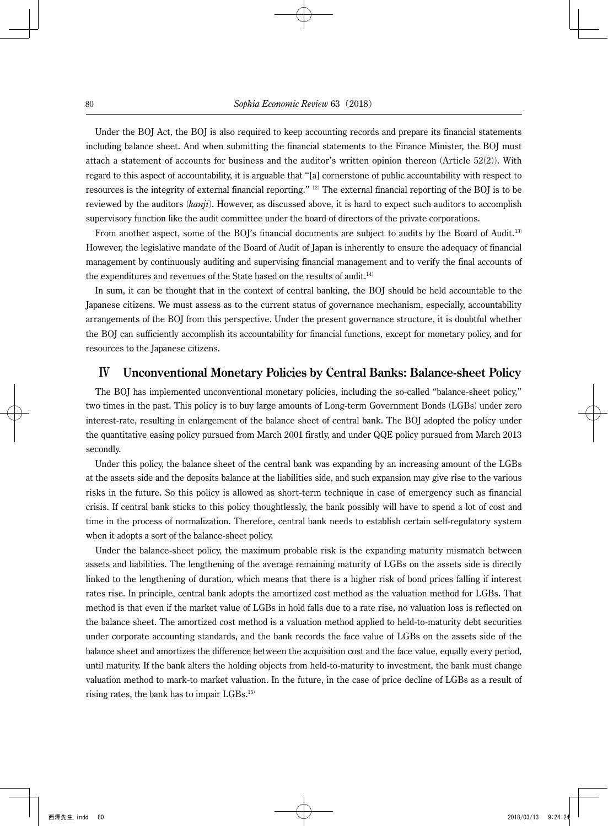Under the BOJ Act, the BOJ is also required to keep accounting records and prepare its financial statements including balance sheet. And when submitting the financial statements to the Finance Minister, the BOJ must attach a statement of accounts for business and the auditor's written opinion thereon (Article 52(2)). With regard to this aspect of accountability, it is arguable that "[a] cornerstone of public accountability with respect to resources is the integrity of external financial reporting." 12) The external financial reporting of the BOJ is to be reviewed by the auditors (*kanji*). However, as discussed above, it is hard to expect such auditors to accomplish supervisory function like the audit committee under the board of directors of the private corporations.

From another aspect, some of the BOJ's financial documents are subject to audits by the Board of Audit.<sup>13)</sup> However, the legislative mandate of the Board of Audit of Japan is inherently to ensure the adequacy of financial management by continuously auditing and supervising financial management and to verify the final accounts of the expenditures and revenues of the State based on the results of audit.<sup>14)</sup>

In sum, it can be thought that in the context of central banking, the BOJ should be held accountable to the Japanese citizens. We must assess as to the current status of governance mechanism, especially, accountability arrangements of the BOJ from this perspective. Under the present governance structure, it is doubtful whether the BOJ can sufficiently accomplish its accountability for financial functions, except for monetary policy, and for resources to the Japanese citizens.

# Ⅳ **Unconventional Monetary Policies by Central Banks: Balance-sheet Policy**

The BOJ has implemented unconventional monetary policies, including the so-called "balance-sheet policy," two times in the past. This policy is to buy large amounts of Long-term Government Bonds (LGBs) under zero interest-rate, resulting in enlargement of the balance sheet of central bank. The BOJ adopted the policy under the quantitative easing policy pursued from March 2001 firstly, and under QQE policy pursued from March 2013 secondly.

Under this policy, the balance sheet of the central bank was expanding by an increasing amount of the LGBs at the assets side and the deposits balance at the liabilities side, and such expansion may give rise to the various risks in the future. So this policy is allowed as short-term technique in case of emergency such as financial crisis. If central bank sticks to this policy thoughtlessly, the bank possibly will have to spend a lot of cost and time in the process of normalization. Therefore, central bank needs to establish certain self-regulatory system when it adopts a sort of the balance-sheet policy.

Under the balance-sheet policy, the maximum probable risk is the expanding maturity mismatch between assets and liabilities. The lengthening of the average remaining maturity of LGBs on the assets side is directly linked to the lengthening of duration, which means that there is a higher risk of bond prices falling if interest rates rise. In principle, central bank adopts the amortized cost method as the valuation method for LGBs. That method is that even if the market value of LGBs in hold falls due to a rate rise, no valuation loss is reflected on the balance sheet. The amortized cost method is a valuation method applied to held-to-maturity debt securities under corporate accounting standards, and the bank records the face value of LGBs on the assets side of the balance sheet and amortizes the difference between the acquisition cost and the face value, equally every period, until maturity. If the bank alters the holding objects from held-to-maturity to investment, the bank must change valuation method to mark-to market valuation. In the future, in the case of price decline of LGBs as a result of rising rates, the bank has to impair LGBs.15)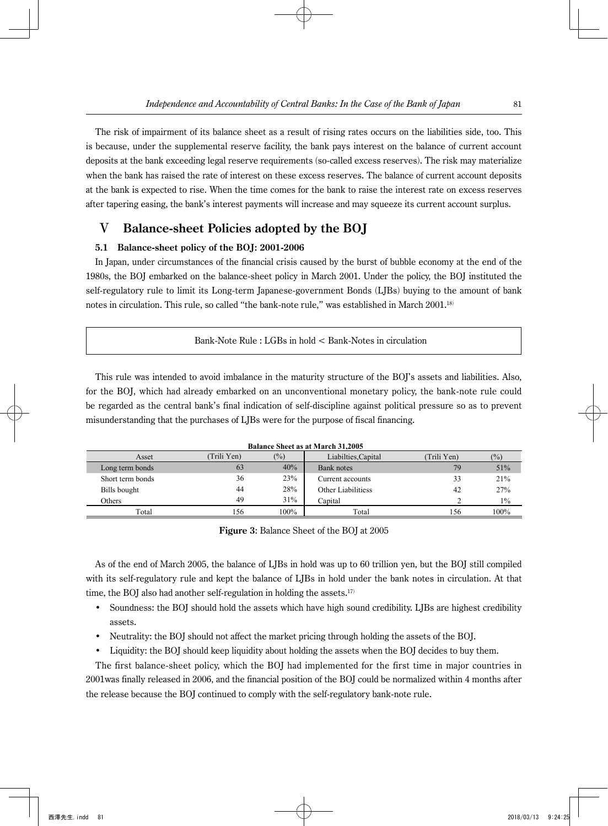The risk of impairment of its balance sheet as a result of rising rates occurs on the liabilities side, too. This is because, under the supplemental reserve facility, the bank pays interest on the balance of current account deposits at the bank exceeding legal reserve requirements (so-called excess reserves). The risk may materialize when the bank has raised the rate of interest on these excess reserves. The balance of current account deposits at the bank is expected to rise. When the time comes for the bank to raise the interest rate on excess reserves after tapering easing, the bank's interest payments will increase and may squeeze its current account surplus.

# Ⅴ **Balance-sheet Policies adopted by the BOJ**

### **5.1 Balance-sheet policy of the BOJ: 2001-2006**

In Japan, under circumstances of the financial crisis caused by the burst of bubble economy at the end of the 1980s, the BOJ embarked on the balance-sheet policy in March 2001. Under the policy, the BOJ instituted the self-regulatory rule to limit its Long-term Japanese-government Bonds (LJBs) buying to the amount of bank notes in circulation. This rule, so called "the bank-note rule," was established in March 2001.<sup>18)</sup>

This rule was intended to avoid imbalance in the maturity structure of the BOJ's assets and liabilities. Also, for the BOJ, which had already embarked on an unconventional monetary policy, the bank-note rule could be regarded as the central bank's final indication of self-discipline against political pressure so as to prevent misunderstanding that the purchases of LJBs were for the purpose of fiscal financing.

| Balance Sheet as at March 31.2005 |             |               |                     |            |        |
|-----------------------------------|-------------|---------------|---------------------|------------|--------|
| Asset                             | (Trili Yen) | $\frac{1}{2}$ | Liabilties, Capital | Trili Yen) | $(\%)$ |
| Long term bonds                   | 63          | 40%           | Bank notes          | 79         | 51%    |
| Short term bonds                  | 36          | 23%           | Current accounts    | 33         | 21%    |
| Bills bought                      | 44          | 28%           | Other Liabilitiess  | 42         | 27%    |
| Others                            | 49          | 31%           | Capital             |            | $1\%$  |
| Total                             | 156         | 100%          | Total               | 156        | 100%   |

**Balance Sheet as at March 31,2005**

**Figure 3**: Balance Sheet of the BOJ at 2005

As of the end of March 2005, the balance of LJBs in hold was up to 60 trillion yen, but the BOJ still compiled with its self-regulatory rule and kept the balance of LJBs in hold under the bank notes in circulation. At that time, the BOJ also had another self-regulation in holding the assets.<sup>17)</sup>

- Soundness: the BOJ should hold the assets which have high sound credibility. LJBs are highest credibility assets.
- Neutrality: the BOJ should not affect the market pricing through holding the assets of the BOJ.
- Liquidity: the BOJ should keep liquidity about holding the assets when the BOJ decides to buy them.

The first balance-sheet policy, which the BOJ had implemented for the first time in major countries in 2001was finally released in 2006, and the financial position of the BOJ could be normalized within 4 months after the release because the BOJ continued to comply with the self-regulatory bank-note rule.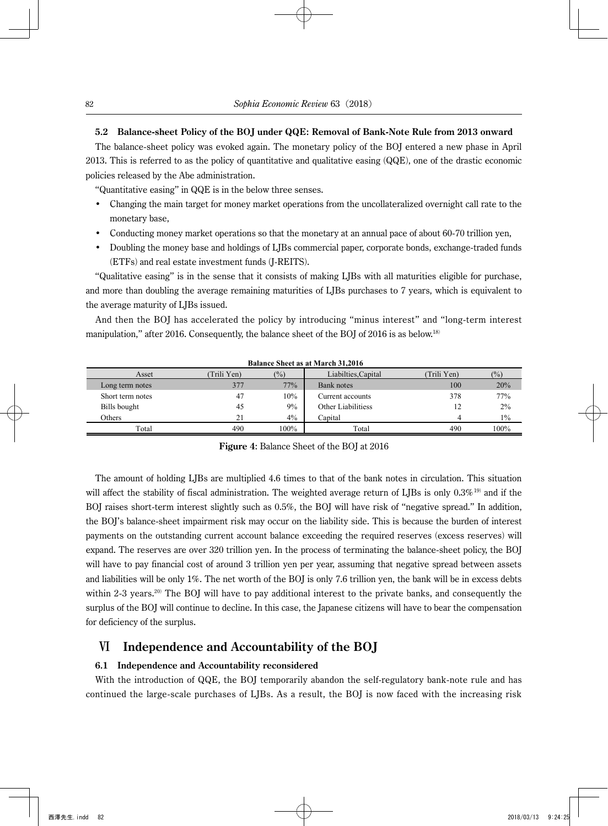### **5.2 Balance-sheet Policy of the BOJ under QQE: Removal of Bank-Note Rule from 2013 onward**

The balance-sheet policy was evoked again. The monetary policy of the BOJ entered a new phase in April 2013. This is referred to as the policy of quantitative and qualitative easing (QQE), one of the drastic economic policies released by the Abe administration.

"Quantitative easing" in QQE is in the below three senses.

- Changing the main target for money market operations from the uncollateralized overnight call rate to the monetary base,
- Conducting money market operations so that the monetary at an annual pace of about 60-70 trillion yen,
- Doubling the money base and holdings of LJBs commercial paper, corporate bonds, exchange-traded funds (ETFs) and real estate investment funds (J-REITS).

"Qualitative easing" is in the sense that it consists of making LJBs with all maturities eligible for purchase, and more than doubling the average remaining maturities of LJBs purchases to 7 years, which is equivalent to the average maturity of LJBs issued.

And then the BOJ has accelerated the policy by introducing "minus interest" and "long-term interest manipulation," after 2016. Consequently, the balance sheet of the BOJ of 2016 is as below.<sup>18)</sup>

**Balance Sheet as at March 31,2016**

| Dalance Sheet as at March 91,2010 |            |                 |                           |            |        |
|-----------------------------------|------------|-----------------|---------------------------|------------|--------|
| Asset                             | Trili Yen) | $\frac{(0)}{0}$ | Liabilties, Capital       | Trili Yen) | $(\%)$ |
| Long term notes                   | 377        | 77%             | Bank notes                | 100        | 20%    |
| Short term notes                  | 47         | 10%             | Current accounts          | 378        | 77%    |
| Bills bought                      | 45         | 9%              | <b>Other Liabilitiess</b> |            | $2\%$  |
| Others                            | 21         | $4\%$           | Capital                   |            | $1\%$  |
| Total                             | 490        | 100%            | Total                     | 490        | 100%   |

**Figure 4**: Balance Sheet of the BOJ at 2016

The amount of holding LJBs are multiplied 4.6 times to that of the bank notes in circulation. This situation will affect the stability of fiscal administration. The weighted average return of LJBs is only 0.3%<sup>19)</sup> and if the BOJ raises short-term interest slightly such as 0.5%, the BOJ will have risk of "negative spread." In addition, the BOJ's balance-sheet impairment risk may occur on the liability side. This is because the burden of interest payments on the outstanding current account balance exceeding the required reserves (excess reserves) will expand. The reserves are over 320 trillion yen. In the process of terminating the balance-sheet policy, the BOJ will have to pay financial cost of around 3 trillion yen per year, assuming that negative spread between assets and liabilities will be only 1%. The net worth of the BOJ is only 7.6 trillion yen, the bank will be in excess debts within 2-3 years.<sup>20)</sup> The BOJ will have to pay additional interest to the private banks, and consequently the surplus of the BOJ will continue to decline. In this case, the Japanese citizens will have to bear the compensation for deficiency of the surplus.

### Ⅵ **Independence and Accountability of the BOJ**

#### **6.1 Independence and Accountability reconsidered**

With the introduction of QQE, the BOJ temporarily abandon the self-regulatory bank-note rule and has continued the large-scale purchases of LJBs. As a result, the BOJ is now faced with the increasing risk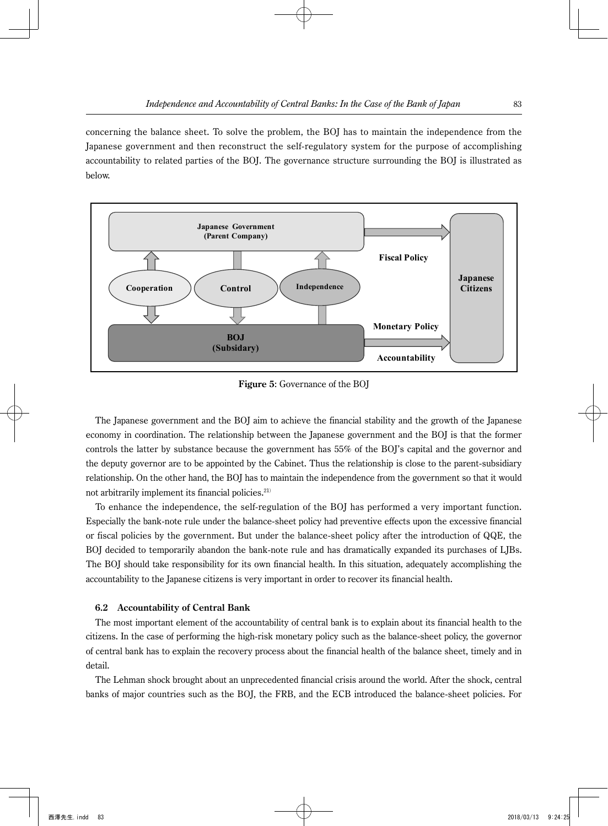concerning the balance sheet. To solve the problem, the BOJ has to maintain the independence from the Japanese government and then reconstruct the self-regulatory system for the purpose of accomplishing accountability to related parties of the BOJ. The governance structure surrounding the BOJ is illustrated as below.



**Figure 5**: Governance of the BOJ

The Japanese government and the BOJ aim to achieve the financial stability and the growth of the Japanese economy in coordination. The relationship between the Japanese government and the BOJ is that the former controls the latter by substance because the government has 55% of the BOJ's capital and the governor and the deputy governor are to be appointed by the Cabinet. Thus the relationship is close to the parent-subsidiary relationship. On the other hand, the BOJ has to maintain the independence from the government so that it would not arbitrarily implement its financial policies.<sup>21)</sup>

To enhance the independence, the self-regulation of the BOJ has performed a very important function. Especially the bank-note rule under the balance-sheet policy had preventive effects upon the excessive financial or fiscal policies by the government. But under the balance-sheet policy after the introduction of QQE, the BOJ decided to temporarily abandon the bank-note rule and has dramatically expanded its purchases of LJBs. The BOJ should take responsibility for its own financial health. In this situation, adequately accomplishing the accountability to the Japanese citizens is very important in order to recover its financial health.

### **6.2 Accountability of Central Bank**

The most important element of the accountability of central bank is to explain about its financial health to the citizens. In the case of performing the high-risk monetary policy such as the balance-sheet policy, the governor of central bank has to explain the recovery process about the financial health of the balance sheet, timely and in detail.

The Lehman shock brought about an unprecedented financial crisis around the world. After the shock, central banks of major countries such as the BOJ, the FRB, and the ECB introduced the balance-sheet policies. For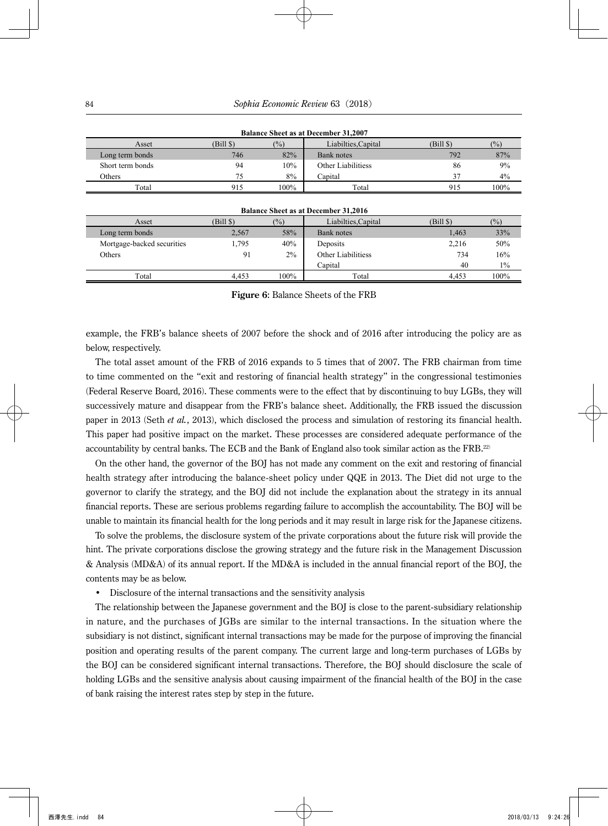| Balance Sheet as at December 31.2007 |           |        |                           |           |        |  |
|--------------------------------------|-----------|--------|---------------------------|-----------|--------|--|
| Asset                                | (Bill \$) | $(\%)$ | Liabilties.Capital        | (Bill \$) | $(\%)$ |  |
| Long term bonds                      | 746       | 82%    | Bank notes                | 792       | 87%    |  |
| Short term bonds                     | 94        | 10%    | <b>Other Liabilitiess</b> | 86        | 9%     |  |
| Others                               | 75        | 8%     | Capital                   |           | 4%     |  |
| Total                                | 915       | 100%   | Total                     | 915       | 100%   |  |

| <b>Balance Sheet as at December 31.2007</b> |  |
|---------------------------------------------|--|
|---------------------------------------------|--|

| <b>Balance Sheet as at December 31,2016</b> |           |        |                     |           |        |  |
|---------------------------------------------|-----------|--------|---------------------|-----------|--------|--|
| Asset                                       | $(Bill \$ | $(\%)$ | Liabilties, Capital | $(Bill \$ | $(\%)$ |  |
| Long term bonds                             | 2.567     | 58%    | Bank notes          | 1,463     | 33%    |  |
| Mortgage-backed securities                  | 1,795     | 40%    | Deposits            | 2,216     | 50%    |  |
| Others                                      | 91        | $2\%$  | Other Liabilitiess  | 734       | 16%    |  |
|                                             |           |        | Capital             | 40        | $1\%$  |  |
| Total                                       | 4.453     | 100%   | Total               | 4.453     | 100%   |  |

**Figure 6**: Balance Sheets of the FRB

example, the FRB's balance sheets of 2007 before the shock and of 2016 after introducing the policy are as below, respectively.

The total asset amount of the FRB of 2016 expands to 5 times that of 2007. The FRB chairman from time to time commented on the "exit and restoring of financial health strategy" in the congressional testimonies (Federal Reserve Board, 2016). These comments were to the effect that by discontinuing to buy LGBs, they will successively mature and disappear from the FRB's balance sheet. Additionally, the FRB issued the discussion paper in 2013 (Seth *et al.*, 2013), which disclosed the process and simulation of restoring its financial health. This paper had positive impact on the market. These processes are considered adequate performance of the accountability by central banks. The ECB and the Bank of England also took similar action as the FRB.22)

On the other hand, the governor of the BOJ has not made any comment on the exit and restoring of financial health strategy after introducing the balance-sheet policy under QQE in 2013. The Diet did not urge to the governor to clarify the strategy, and the BOJ did not include the explanation about the strategy in its annual financial reports. These are serious problems regarding failure to accomplish the accountability. The BOJ will be unable to maintain its financial health for the long periods and it may result in large risk for the Japanese citizens.

To solve the problems, the disclosure system of the private corporations about the future risk will provide the hint. The private corporations disclose the growing strategy and the future risk in the Management Discussion & Analysis (MD&A) of its annual report. If the MD&A is included in the annual financial report of the BOJ, the contents may be as below.

• Disclosure of the internal transactions and the sensitivity analysis

The relationship between the Japanese government and the BOJ is close to the parent-subsidiary relationship in nature, and the purchases of JGBs are similar to the internal transactions. In the situation where the subsidiary is not distinct, significant internal transactions may be made for the purpose of improving the financial position and operating results of the parent company. The current large and long-term purchases of LGBs by the BOJ can be considered significant internal transactions. Therefore, the BOJ should disclosure the scale of holding LGBs and the sensitive analysis about causing impairment of the financial health of the BOJ in the case of bank raising the interest rates step by step in the future.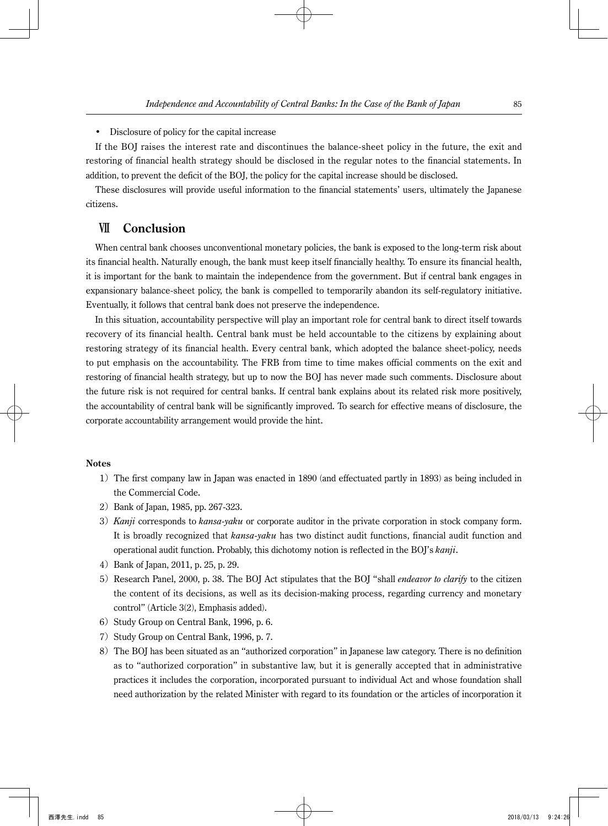• Disclosure of policy for the capital increase

If the BOJ raises the interest rate and discontinues the balance-sheet policy in the future, the exit and restoring of financial health strategy should be disclosed in the regular notes to the financial statements. In addition, to prevent the deficit of the BOJ, the policy for the capital increase should be disclosed.

These disclosures will provide useful information to the financial statements' users, ultimately the Japanese citizens.

# Ⅶ **Conclusion**

When central bank chooses unconventional monetary policies, the bank is exposed to the long-term risk about its financial health. Naturally enough, the bank must keep itself financially healthy. To ensure its financial health, it is important for the bank to maintain the independence from the government. But if central bank engages in expansionary balance-sheet policy, the bank is compelled to temporarily abandon its self-regulatory initiative. Eventually, it follows that central bank does not preserve the independence.

In this situation, accountability perspective will play an important role for central bank to direct itself towards recovery of its financial health. Central bank must be held accountable to the citizens by explaining about restoring strategy of its financial health. Every central bank, which adopted the balance sheet-policy, needs to put emphasis on the accountability. The FRB from time to time makes official comments on the exit and restoring of financial health strategy, but up to now the BOJ has never made such comments. Disclosure about the future risk is not required for central banks. If central bank explains about its related risk more positively, the accountability of central bank will be significantly improved. To search for effective means of disclosure, the corporate accountability arrangement would provide the hint.

### **Notes**

- 1) The first company law in Japan was enacted in 1890 (and effectuated partly in 1893) as being included in the Commercial Code.
- 2) Bank of Japan, 1985, pp. 267-323.
- 3) *Kanji* corresponds to *kansa-yaku* or corporate auditor in the private corporation in stock company form. It is broadly recognized that *kansa-yaku* has two distinct audit functions, financial audit function and operational audit function. Probably, this dichotomy notion is reflected in the BOJ's *kanji*.
- 4) Bank of Japan, 2011, p. 25, p. 29.
- 5) Research Panel, 2000, p. 38. The BOJ Act stipulates that the BOJ "shall *endeavor to clarify* to the citizen the content of its decisions, as well as its decision-making process, regarding currency and monetary control" (Article 3(2), Emphasis added).
- 6) Study Group on Central Bank, 1996, p. 6.
- 7) Study Group on Central Bank, 1996, p. 7.
- 8) The BOJ has been situated as an "authorized corporation" in Japanese law category. There is no definition as to "authorized corporation" in substantive law, but it is generally accepted that in administrative practices it includes the corporation, incorporated pursuant to individual Act and whose foundation shall need authorization by the related Minister with regard to its foundation or the articles of incorporation it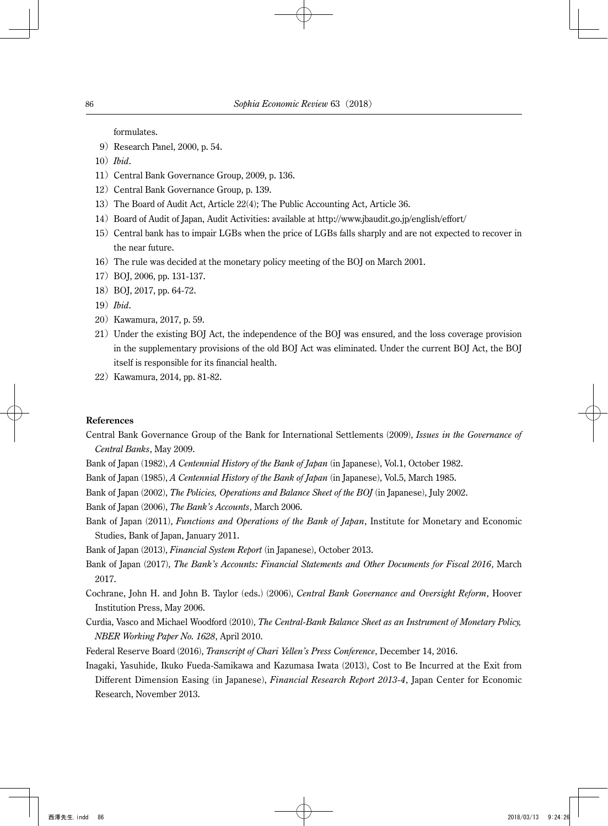formulates.

- 9)Research Panel, 2000, p. 54.
- 10)*Ibid*.
- 11) Central Bank Governance Group, 2009, p. 136.
- 12) Central Bank Governance Group, p. 139.
- 13) The Board of Audit Act, Article 22(4); The Public Accounting Act, Article 36.
- 14)Board of Audit of Japan, Audit Activities: available at http://www.jbaudit.go.jp/english/effort/
- 15) Central bank has to impair LGBs when the price of LGBs falls sharply and are not expected to recover in the near future.
- 16)The rule was decided at the monetary policy meeting of the BOJ on March 2001.
- 17)BOJ, 2006, pp. 131-137.
- 18) BOJ, 2017, pp. 64-72.
- 19)*Ibid*.
- 20) Kawamura, 2017, p. 59.
- 21) Under the existing BOJ Act, the independence of the BOJ was ensured, and the loss coverage provision in the supplementary provisions of the old BOJ Act was eliminated. Under the current BOJ Act, the BOJ itself is responsible for its financial health.
- 22) Kawamura, 2014, pp. 81-82.

### **References**

Central Bank Governance Group of the Bank for International Settlements (2009), *Issues in the Governance of Central Banks*, May 2009.

- Bank of Japan (1982), *A Centennial History of the Bank of Japan* (in Japanese), Vol.1, October 1982.
- Bank of Japan (1985), *A Centennial History of the Bank of Japan* (in Japanese), Vol.5, March 1985.
- Bank of Japan (2002), *The Policies, Operations and Balance Sheet of the BOJ* (in Japanese), July 2002.

Bank of Japan (2006), *The Bank's Accounts*, March 2006.

Bank of Japan (2011), *Functions and Operations of the Bank of Japan*, Institute for Monetary and Economic Studies, Bank of Japan, January 2011.

Bank of Japan (2013), *Financial System Report* (in Japanese), October 2013.

- Bank of Japan (2017), *The Bank's Accounts: Financial Statements and Other Documents for Fiscal 2016*, March 2017.
- Cochrane, John H. and John B. Taylor (eds.) (2006), *Central Bank Governance and Oversight Reform*, Hoover Institution Press, May 2006.
- Curdia, Vasco and Michael Woodford (2010), *The Central-Bank Balance Sheet as an Instrument of Monetary Policy, NBER Working Paper No. 1628*, April 2010.
- Federal Reserve Board (2016), *Transcript of Chari Yellen's Press Conference*, December 14, 2016.
- Inagaki, Yasuhide, Ikuko Fueda-Samikawa and Kazumasa Iwata (2013), Cost to Be Incurred at the Exit from Different Dimension Easing (in Japanese), *Financial Research Report 2013-4*, Japan Center for Economic Research, November 2013.